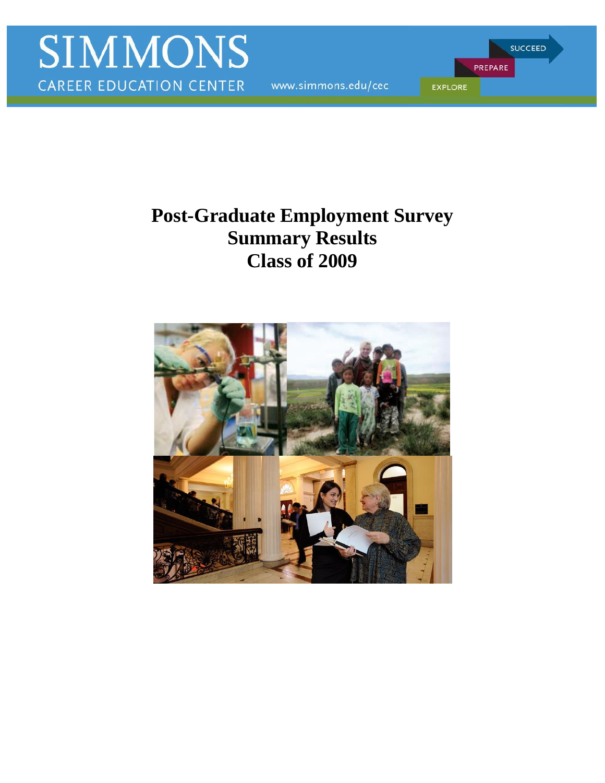www.simmons.edu/cec

**SUCCEED** PREPARE **EXPLORE** 

# **Post-Graduate Employment Survey Summary Results Class of 2009**

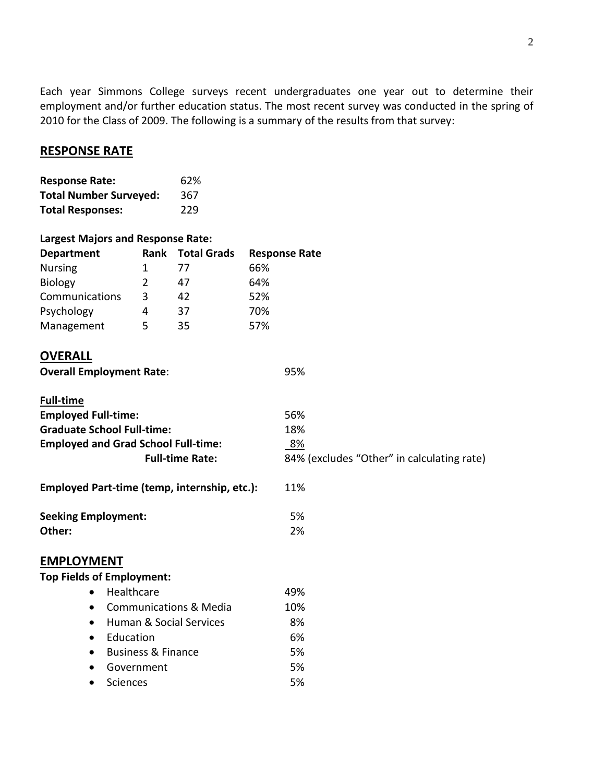Each year Simmons College surveys recent undergraduates one year out to determine their employment and/or further education status. The most recent survey was conducted in the spring of 2010 for the Class of 2009. The following is a summary of the results from that survey:

# **RESPONSE RATE**

| <b>Response Rate:</b>         | 62% |
|-------------------------------|-----|
| <b>Total Number Surveyed:</b> | 367 |
| <b>Total Responses:</b>       | 229 |

### **Largest Majors and Response Rate:**

| <b>Department</b> | Rank | <b>Total Grads</b> | <b>Response Rate</b> |
|-------------------|------|--------------------|----------------------|
| <b>Nursing</b>    |      | 77                 | 66%                  |
| <b>Biology</b>    |      | 47                 | 64%                  |
| Communications    | 3    | 42                 | 52%                  |
| Psychology        | 4    | 37                 | 70%                  |
| Management        | 5    | 35                 | 57%                  |
|                   |      |                    |                      |

# **OVERALL**

| , , , , , , ,                                  |                                            |
|------------------------------------------------|--------------------------------------------|
| <b>Overall Employment Rate:</b>                | 95%                                        |
| <b>Full-time</b>                               |                                            |
| <b>Employed Full-time:</b>                     | 56%                                        |
| <b>Graduate School Full-time:</b>              | 18%                                        |
| <b>Employed and Grad School Full-time:</b>     | <u>8%</u>                                  |
| <b>Full-time Rate:</b>                         | 84% (excludes "Other" in calculating rate) |
| Employed Part-time (temp, internship, etc.):   | 11%                                        |
| <b>Seeking Employment:</b>                     | 5%                                         |
| Other:                                         | 2%                                         |
| <b>EMPLOYMENT</b>                              |                                            |
| <b>Top Fields of Employment:</b>               |                                            |
| Healthcare<br>$\bullet$                        | 49%                                        |
| <b>Communications &amp; Media</b><br>$\bullet$ | 10%                                        |
| Human & Social Services<br>$\bullet$           | 8%                                         |
| Education<br>$\bullet$                         | 6%                                         |
| <b>Business &amp; Finance</b><br>$\bullet$     | 5%                                         |
| Government                                     | 5%                                         |

Sciences 5%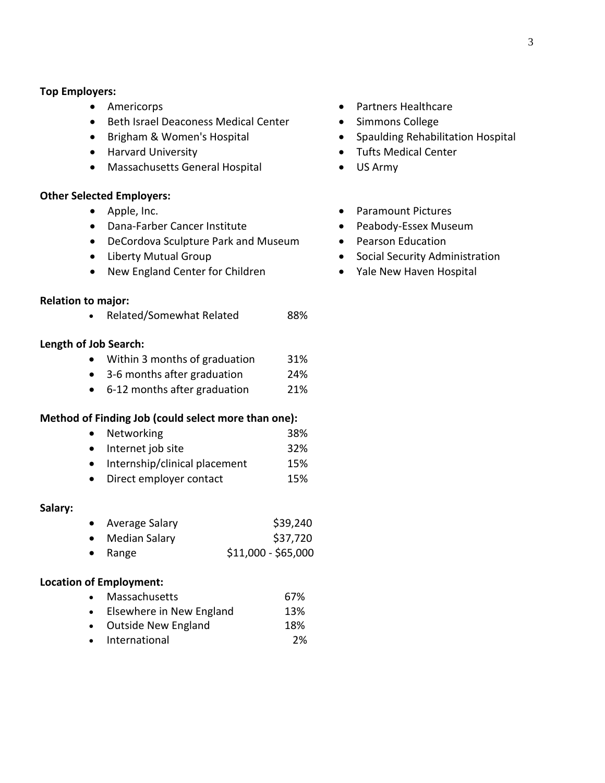#### **Top Employers:**

- Americorps
- Beth Israel Deaconess Medical Center
- Brigham & Women's Hospital
- Harvard University
- Massachusetts General Hospital

## **Other Selected Employers:**

- Apple, Inc.
- Dana-Farber Cancer Institute
- DeCordova Sculpture Park and Museum
- Liberty Mutual Group
- New England Center for Children

#### **Relation to major:**

• Related/Somewhat Related 88%

## **Length of Job Search:**

- Within 3 months of graduation 31%
- 3-6 months after graduation 24%
- 6-12 months after graduation 21%

## **Method of Finding Job (could select more than one):**

- Networking 38%
- Internet job site 32%
- Internship/clinical placement 15%
- Direct employer contact 15%

#### **Salary:**

- Average Salary \$39,240 • Median Salary \$37,720
- Range  $$11,000 - $65,000$

# **Location of Employment:**

- Massachusetts 67%
- Elsewhere in New England 13%
- Outside New England 18%
- International 2%
- Partners Healthcare
- Simmons College
- Spaulding Rehabilitation Hospital
- Tufts Medical Center
- US Army
- Paramount Pictures
- Peabody-Essex Museum
- Pearson Education
- Social Security Administration
- Yale New Haven Hospital